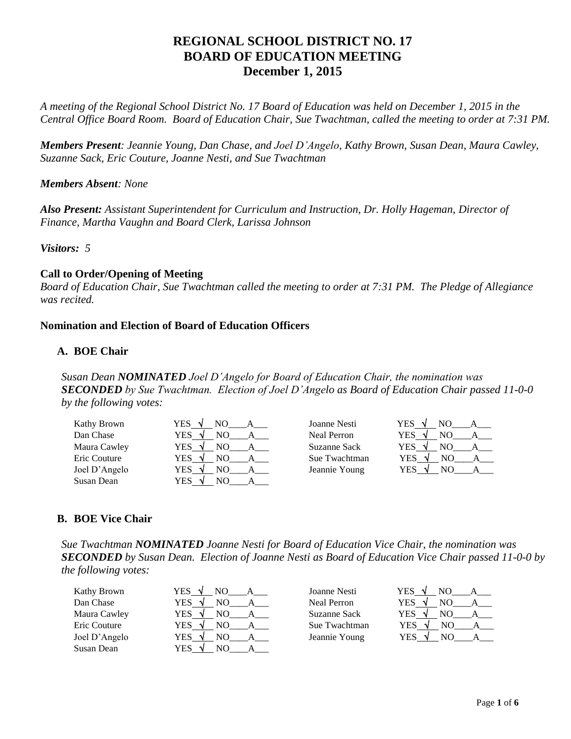# **REGIONAL SCHOOL DISTRICT NO. 17 BOARD OF EDUCATION MEETING December 1, 2015**

*A meeting of the Regional School District No. 17 Board of Education was held on December 1, 2015 in the Central Office Board Room. Board of Education Chair, Sue Twachtman, called the meeting to order at 7:31 PM.*

*Members Present: Jeannie Young, Dan Chase, and Joel D'Angelo, Kathy Brown, Susan Dean, Maura Cawley, Suzanne Sack, Eric Couture, Joanne Nesti, and Sue Twachtman*

*Members Absent: None*

*Also Present: Assistant Superintendent for Curriculum and Instruction, Dr. Holly Hageman, Director of Finance, Martha Vaughn and Board Clerk, Larissa Johnson*

*Visitors: 5*

# **Call to Order/Opening of Meeting**

*Board of Education Chair, Sue Twachtman called the meeting to order at 7:31 PM. The Pledge of Allegiance was recited.*

# **Nomination and Election of Board of Education Officers**

# **A. BOE Chair**

*Susan Dean NOMINATED Joel D'Angelo for Board of Education Chair, the nomination was SECONDED by Sue Twachtman. Election of Joel D'Angelo as Board of Education Chair passed 11-0-0 by the following votes:*

| Kathy Brown   | YES .     | Joanne Nesti  | YES<br>NΩ<br>$\sim$ |
|---------------|-----------|---------------|---------------------|
| Dan Chase     | YES<br>NΟ | Neal Perron   | <b>YES</b><br>NΟ    |
| Maura Cawley  | YES<br>NΩ | Suzanne Sack  | <b>YES</b>          |
| Eric Couture  | YES<br>NΟ | Sue Twachtman | YES<br>NΩ           |
| Joel D'Angelo | YES<br>NΩ | Jeannie Young | YES                 |
| Susan Dean    | YES<br>NΟ |               |                     |

### **B. BOE Vice Chair**

*Sue Twachtman NOMINATED Joanne Nesti for Board of Education Vice Chair, the nomination was SECONDED by Susan Dean. Election of Joanne Nesti as Board of Education Vice Chair passed 11-0-0 by the following votes:*

| Kathy Brown   | YES.<br>NO<br>$\sim$ | Joanne Nesti  | YES<br>NΟ         |
|---------------|----------------------|---------------|-------------------|
| Dan Chase     | YES<br>NО            | Neal Perron   | YES               |
| Maura Cawley  | YES<br>NO            | Suzanne Sack  | <b>YES</b><br>NC. |
| Eric Couture  | <b>YES</b><br>NO.    | Sue Twachtman | YES<br>٨Ι<br>NG.  |
| Joel D'Angelo | YES<br>NO.           | Jeannie Young | YES<br>NΩ         |
| Susan Dean    | YES<br>NΟ            |               |                   |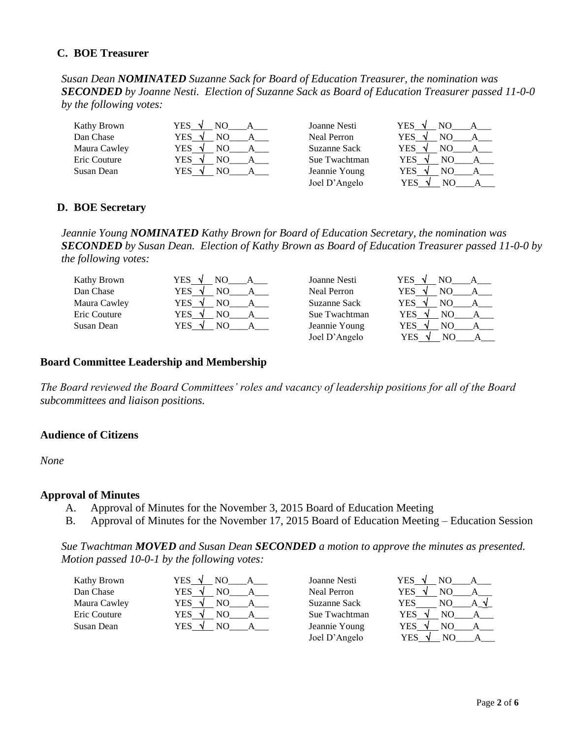### **C. BOE Treasurer**

*Susan Dean NOMINATED Suzanne Sack for Board of Education Treasurer, the nomination was SECONDED by Joanne Nesti. Election of Suzanne Sack as Board of Education Treasurer passed 11-0-0 by the following votes:*

| Kathy Brown  | YES        | Joanne Nesti  | YES<br>-11 |
|--------------|------------|---------------|------------|
| Dan Chase    | YES        | Neal Perron   | YES        |
| Maura Cawley | YES        | Suzanne Sack  | YES        |
| Eric Couture | YES.<br>NΟ | Sue Twachtman | YES<br>٦Ι  |
| Susan Dean   | YES<br>NΩ  | Jeannie Young | YES        |
|              |            | Joel D'Angelo | YES<br>NO. |

### **D. BOE Secretary**

*Jeannie Young NOMINATED Kathy Brown for Board of Education Secretary, the nomination was SECONDED by Susan Dean. Election of Kathy Brown as Board of Education Treasurer passed 11-0-0 by the following votes:*

| Kathy Brown  | <b>YES</b> | Joanne Nesti       | YES<br>NО<br>$\Delta$ |
|--------------|------------|--------------------|-----------------------|
| Dan Chase    | YES<br>NΩ  | <b>Neal Perron</b> | YES<br>NΟ             |
| Maura Cawley | YES<br>NΟ  | Suzanne Sack       | <b>YES</b><br>NO.     |
| Eric Couture | YES<br>NΟ  | Sue Twachtman      | <b>YES</b><br>NΟ      |
| Susan Dean   | YES<br>NΩ  | Jeannie Young      | <b>YES</b><br>NO<br>M |
|              |            | Joel D'Angelo      | YES<br>NС             |

#### **Board Committee Leadership and Membership**

*The Board reviewed the Board Committees' roles and vacancy of leadership positions for all of the Board subcommittees and liaison positions.*

#### **Audience of Citizens**

*None*

#### **Approval of Minutes**

- A. Approval of Minutes for the November 3, 2015 Board of Education Meeting
- B. Approval of Minutes for the November 17, 2015 Board of Education Meeting Education Session

*Sue Twachtman MOVED and Susan Dean SECONDED a motion to approve the minutes as presented. Motion passed 10-0-1 by the following votes:*

| Kathy Brown  | YES | Joanne Nesti       | YES-<br>NО      |
|--------------|-----|--------------------|-----------------|
| Dan Chase    | YES | <b>Neal Perron</b> | YES<br>NC       |
| Maura Cawley | YES | Suzanne Sack       | YES             |
| Eric Couture | YES | Sue Twachtman      | YES<br>NO       |
| Susan Dean   | YES | Jeannie Young      | YES<br>٩I<br>NO |
|              |     | Joel D'Angelo      | YES<br>NС       |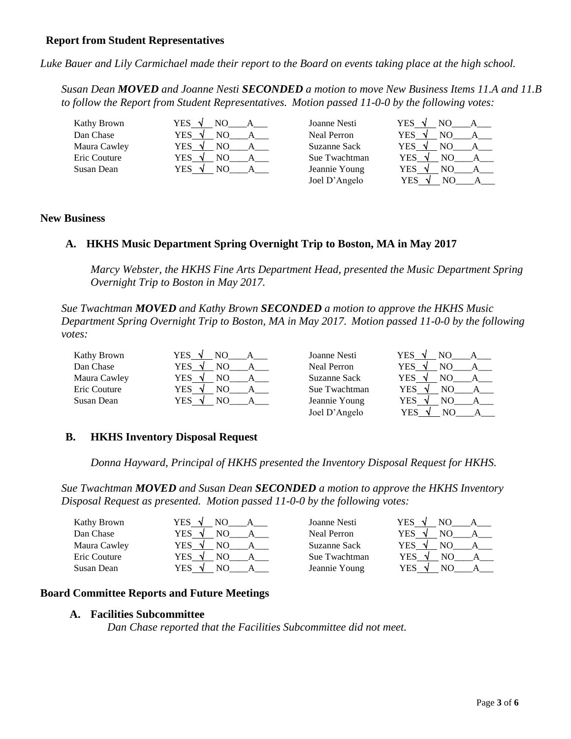### **Report from Student Representatives**

*Luke Bauer and Lily Carmichael made their report to the Board on events taking place at the high school.*

*Susan Dean MOVED and Joanne Nesti SECONDED a motion to move New Business Items 11.A and 11.B to follow the Report from Student Representatives. Motion passed 11-0-0 by the following votes:*

| Kathy Brown  | YES .<br>NΟ          | Joanne Nesti       | <b>YES</b><br>NΩ  |
|--------------|----------------------|--------------------|-------------------|
| Dan Chase    | YES<br>NO.<br>$\sim$ | <b>Neal Perron</b> | YES<br>NO.        |
| Maura Cawley | YES<br>NΩ            | Suzanne Sack       | <b>YES</b>        |
| Eric Couture | YES<br>NO            | Sue Twachtman      | YES               |
| Susan Dean   | YES<br>NO            | Jeannie Young      | YES<br>NO.        |
|              |                      | Joel D'Angelo      | <b>YES</b><br>NO. |

### **New Business**

### **A. HKHS Music Department Spring Overnight Trip to Boston, MA in May 2017**

*Marcy Webster, the HKHS Fine Arts Department Head, presented the Music Department Spring Overnight Trip to Boston in May 2017.*

*Sue Twachtman MOVED and Kathy Brown SECONDED a motion to approve the HKHS Music Department Spring Overnight Trip to Boston, MA in May 2017. Motion passed 11-0-0 by the following votes:*

| Kathy Brown  | YES .             | Joanne Nesti       | YES -     |
|--------------|-------------------|--------------------|-----------|
| Dan Chase    | <b>YES</b><br>NO. | <b>Neal Perron</b> | YES<br>NΟ |
| Maura Cawley | YES<br>NO         | Suzanne Sack       | YES       |
| Eric Couture | YES<br>NΟ         | Sue Twachtman      | YES<br>NО |
| Susan Dean   | YES<br>NΩ         | Jeannie Young      | YES<br>NО |
|              |                   | Joel D'Angelo      | YES<br>NО |

### **B. HKHS Inventory Disposal Request**

*Donna Hayward, Principal of HKHS presented the Inventory Disposal Request for HKHS.*

*Sue Twachtman MOVED and Susan Dean SECONDED a motion to approve the HKHS Inventory Disposal Request as presented. Motion passed 11-0-0 by the following votes:*

| Kathy Brown  | YES<br>NΟ<br>$\sim$        | Joanne Nesti       | YES -<br>NΟ<br>$\sim$ |
|--------------|----------------------------|--------------------|-----------------------|
| Dan Chase    | YES<br>NO<br>$\mathcal{N}$ | <b>Neal Perron</b> | YES                   |
| Maura Cawley | YES<br>NΟ<br>N             | Suzanne Sack       | YES<br>NC             |
| Eric Couture | NΩ<br>YES<br>N             | Sue Twachtman      | YES<br>NΩ             |
| Susan Dean   | YES                        | Jeannie Young      | YES                   |

### **Board Committee Reports and Future Meetings**

#### **A. Facilities Subcommittee**

*Dan Chase reported that the Facilities Subcommittee did not meet.*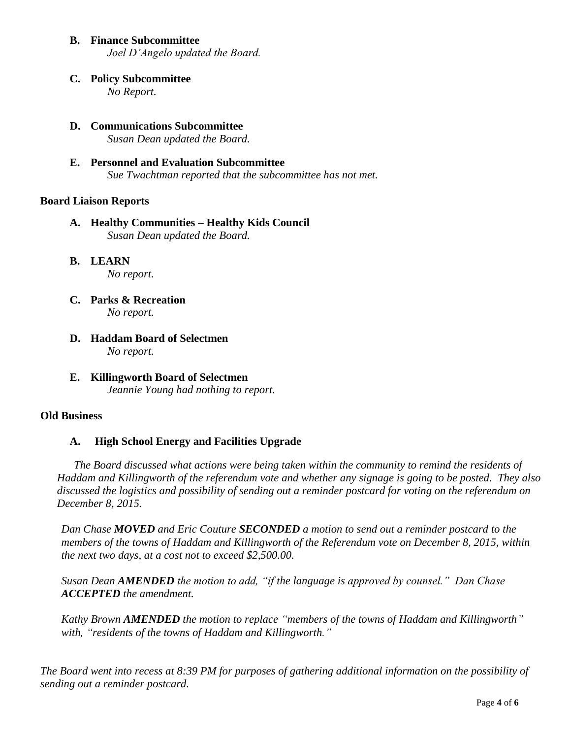- **B. Finance Subcommittee** *Joel D'Angelo updated the Board.*
- **C. Policy Subcommittee** *No Report.*
- **D. Communications Subcommittee** *Susan Dean updated the Board.*
- **E. Personnel and Evaluation Subcommittee** *Sue Twachtman reported that the subcommittee has not met.*

### **Board Liaison Reports**

- **A. Healthy Communities – Healthy Kids Council** *Susan Dean updated the Board.*
- **B. LEARN**  *No report.*
- **C. Parks & Recreation** *No report.*
- **D. Haddam Board of Selectmen** *No report.*
- **E. Killingworth Board of Selectmen** *Jeannie Young had nothing to report.*

### **Old Business**

# **A. High School Energy and Facilities Upgrade**

*The Board discussed what actions were being taken within the community to remind the residents of Haddam and Killingworth of the referendum vote and whether any signage is going to be posted. They also discussed the logistics and possibility of sending out a reminder postcard for voting on the referendum on December 8, 2015.*

*Dan Chase MOVED and Eric Couture SECONDED a motion to send out a reminder postcard to the members of the towns of Haddam and Killingworth of the Referendum vote on December 8, 2015, within the next two days, at a cost not to exceed \$2,500.00.* 

*Susan Dean AMENDED the motion to add, "if the language is approved by counsel." Dan Chase ACCEPTED the amendment.*

*Kathy Brown AMENDED the motion to replace "members of the towns of Haddam and Killingworth" with, "residents of the towns of Haddam and Killingworth."* 

*The Board went into recess at 8:39 PM for purposes of gathering additional information on the possibility of sending out a reminder postcard.*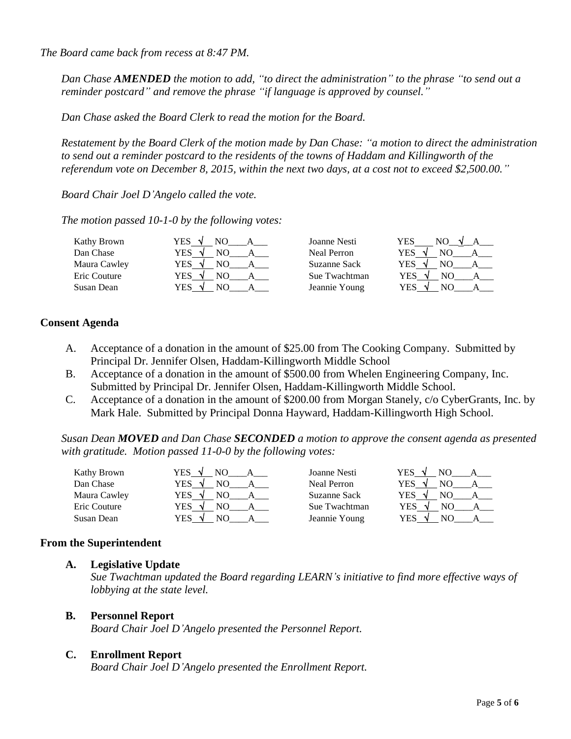*The Board came back from recess at 8:47 PM.* 

*Dan Chase AMENDED the motion to add, "to direct the administration" to the phrase "to send out a reminder postcard" and remove the phrase "if language is approved by counsel."*

*Dan Chase asked the Board Clerk to read the motion for the Board.*

*Restatement by the Board Clerk of the motion made by Dan Chase: "a motion to direct the administration to send out a reminder postcard to the residents of the towns of Haddam and Killingworth of the referendum vote on December 8, 2015, within the next two days, at a cost not to exceed \$2,500.00."*

*Board Chair Joel D'Angelo called the vote.*

*The motion passed 10-1-0 by the following votes:*

| Kathy Brown  | YES<br>N            | Joanne Nesti  | YES<br>NΩ |
|--------------|---------------------|---------------|-----------|
| Dan Chase    | YES<br>$\mathbf{v}$ | Neal Perron   | YES       |
| Maura Cawley | YES.                | Suzanne Sack  | YES       |
| Eric Couture | YES                 | Sue Twachtman | YES<br>N0 |
| Susan Dean   | YES                 | Jeannie Young | YES       |

# **Consent Agenda**

- A. Acceptance of a donation in the amount of \$25.00 from The Cooking Company. Submitted by Principal Dr. Jennifer Olsen, Haddam-Killingworth Middle School
- B. Acceptance of a donation in the amount of \$500.00 from Whelen Engineering Company, Inc. Submitted by Principal Dr. Jennifer Olsen, Haddam-Killingworth Middle School.
- C. Acceptance of a donation in the amount of \$200.00 from Morgan Stanely, c/o CyberGrants, Inc. by Mark Hale. Submitted by Principal Donna Hayward, Haddam-Killingworth High School.

*Susan Dean MOVED and Dan Chase SECONDED a motion to approve the consent agenda as presented with gratitude. Motion passed 11-0-0 by the following votes:*

| Kathy Brown  | YES<br>$\sim$ | Joanne Nesti       | YES<br>$\sim$ |
|--------------|---------------|--------------------|---------------|
| Dan Chase    | YES<br>NΟ     | <b>Neal Perron</b> | YES           |
| Maura Cawley | YES           | Suzanne Sack       | YES           |
| Eric Couture | YES.<br>NO.   | Sue Twachtman      | YES<br>NC     |
| Susan Dean   | NΟ<br>YES     | Jeannie Young      | YES<br>NΩ     |

### **From the Superintendent**

### **A. Legislative Update**

*Sue Twachtman updated the Board regarding LEARN's initiative to find more effective ways of lobbying at the state level.*

### **B. Personnel Report**

*Board Chair Joel D'Angelo presented the Personnel Report.*

### **C. Enrollment Report**

*Board Chair Joel D'Angelo presented the Enrollment Report.*